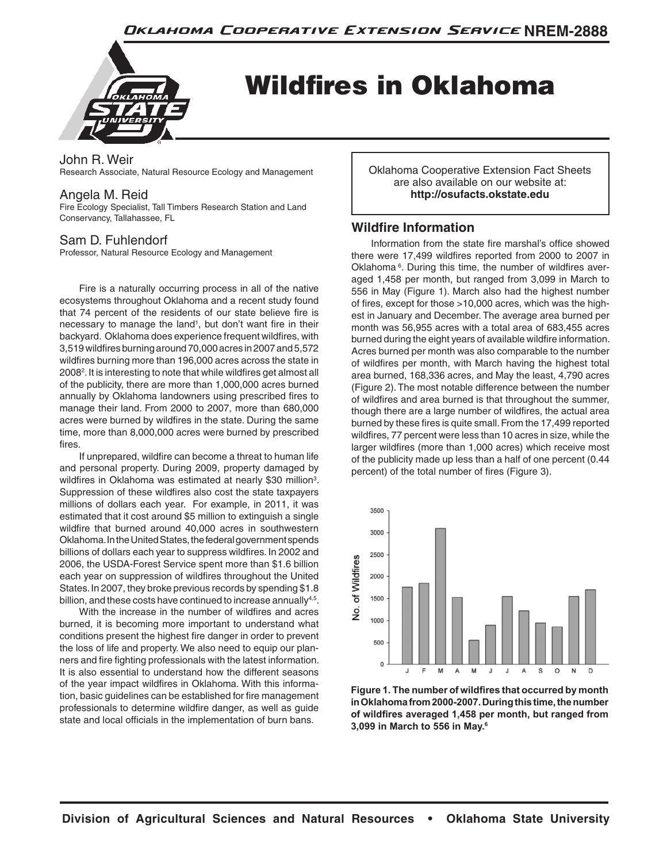

Wildfires in Oklahoma

John R. Weir Research Associate, Natural Resource Ecology and Management

## Angela M. Reid

Fire Ecology Specialist, Tall Timbers Research Station and Land Conservancy, Tallahassee, FL

# Sam D. Fuhlendorf

Professor, Natural Resource Ecology and Management

Fire is a naturally occurring process in all of the native ecosystems throughout Oklahoma and a recent study found that 74 percent of the residents of our state believe fire is necessary to manage the land<sup>1</sup>, but don't want fire in their backyard. Oklahoma does experience frequent wildfires, with 3,519 wildfires burning around 70,000 acres in 2007 and 5,572 wildfires burning more than 196,000 acres across the state in 2008<sup>2</sup>. It is interesting to note that while wildfires get almost all of the publicity, there are more than 1,000,000 acres burned annually by Oklahoma landowners using prescribed fires to manage their land. From 2000 to 2007, more than 680,000 acres were burned by wildfires in the state. During the same time, more than 8,000,000 acres were burned by prescribed fires.

If unprepared, wildfire can become a threat to human life and personal property. During 2009, property damaged by wildfires in Oklahoma was estimated at nearly \$30 million<sup>3</sup>. Suppression of these wildfires also cost the state taxpayers millions of dollars each year. For example, in 2011, it was estimated that it cost around \$5 million to extinguish a single wildfire that burned around 40,000 acres in southwestern Oklahoma. In the United States, the federal government spends billions of dollars each year to suppress wildfires. In 2002 and 2006, the USDA-Forest Service spent more than \$1.6 billion each year on suppression of wildfires throughout the United States. In 2007, they broke previous records by spending \$1.8 billion, and these costs have continued to increase annually<sup>4,5</sup>.

With the increase in the number of wildfires and acres burned, it is becoming more important to understand what conditions present the highest fire danger in order to prevent the loss of life and property. We also need to equip our planners and fire fighting professionals with the latest information. It is also essential to understand how the different seasons of the year impact wildfires in Oklahoma. With this information, basic guidelines can be established for fire management professionals to determine wildfire danger, as well as guide state and local officials in the implementation of burn bans.

Oklahoma Cooperative Extension Fact Sheets are also available on our website at: **http://osufacts.okstate.edu**

# **Wildfire Information**

Information from the state fire marshal's office showed there were 17,499 wildfires reported from 2000 to 2007 in Oklahoma<sup>6</sup>. During this time, the number of wildfires averaged 1,458 per month, but ranged from 3,099 in March to 556 in May (Figure 1). March also had the highest number of fires, except for those >10,000 acres, which was the highest in January and December. The average area burned per month was 56,955 acres with a total area of 683,455 acres burned during the eight years of available wildfire information. Acres burned per month was also comparable to the number of wildfires per month, with March having the highest total area burned, 168,336 acres, and May the least, 4,790 acres (Figure 2). The most notable difference between the number of wildfires and area burned is that throughout the summer, though there are a large number of wildfires, the actual area burned by these fires is quite small. From the 17,499 reported wildfires, 77 percent were less than 10 acres in size, while the larger wildfires (more than 1,000 acres) which receive most of the publicity made up less than a half of one percent (0.44 percent) of the total number of fires (Figure 3).



**Figure 1. The number of wildfires that occurred by month in Oklahoma from 2000-2007. During this time, the number of wildfires averaged 1,458 per month, but ranged from 3,099 in March to 556 in May.6**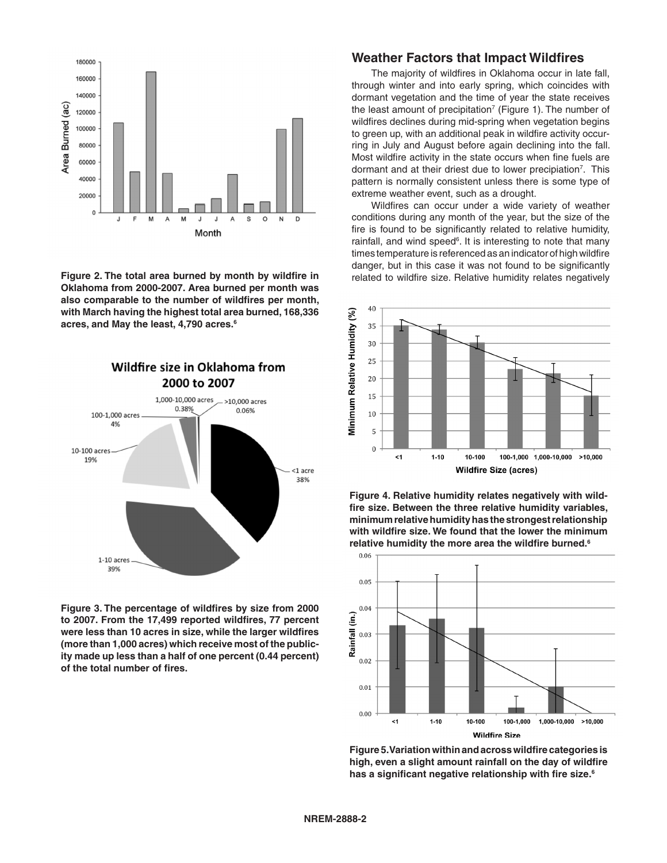

**Figure 2. The total area burned by month by wildfire in Oklahoma from 2000-2007. Area burned per month was also comparable to the number of wildfires per month, with March having the highest total area burned, 168,336 acres, and May the least, 4,790 acres.6**



**Figure 3. The percentage of wildfires by size from 2000 to 2007. From the 17,499 reported wildfires, 77 percent were less than 10 acres in size, while the larger wildfires (more than 1,000 acres) which receive most of the publicity made up less than a half of one percent (0.44 percent) of the total number of fires.**

### **Weather Factors that Impact Wildfires**

The majority of wildfires in Oklahoma occur in late fall, through winter and into early spring, which coincides with dormant vegetation and the time of year the state receives the least amount of precipitation<sup>7</sup> (Figure 1). The number of wildfires declines during mid-spring when vegetation begins to green up, with an additional peak in wildfire activity occurring in July and August before again declining into the fall. Most wildfire activity in the state occurs when fine fuels are dormant and at their driest due to lower precipiation<sup>7</sup>. This pattern is normally consistent unless there is some type of extreme weather event, such as a drought.

Wildfires can occur under a wide variety of weather conditions during any month of the year, but the size of the fire is found to be significantly related to relative humidity, rainfall, and wind speed<sup>6</sup>. It is interesting to note that many times temperature is referenced as an indicator of high wildfire danger, but in this case it was not found to be significantly related to wildfire size. Relative humidity relates negatively



**Figure 4. Relative humidity relates negatively with wildfire size. Between the three relative humidity variables, minimum relative humidity has the strongest relationship with wildfire size. We found that the lower the minimum relative humidity the more area the wildfire burned.6**



**Figure 5. Variation within and across wildfire categories is high, even a slight amount rainfall on the day of wildfire has a significant negative relationship with fire size.6**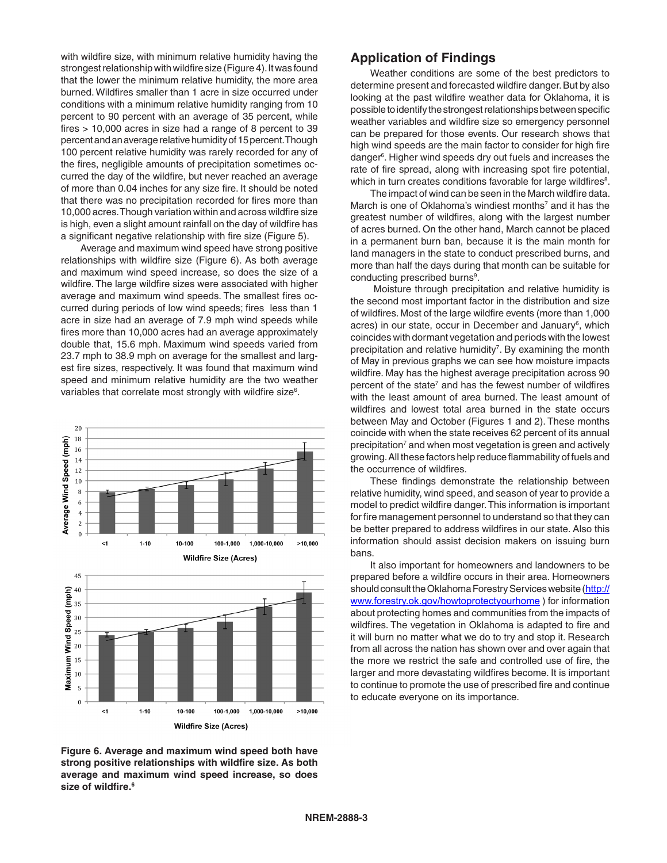with wildfire size, with minimum relative humidity having the strongest relationship with wildfire size (Figure 4). It was found that the lower the minimum relative humidity, the more area burned. Wildfires smaller than 1 acre in size occurred under conditions with a minimum relative humidity ranging from 10 percent to 90 percent with an average of 35 percent, while fires > 10,000 acres in size had a range of 8 percent to 39 percent and an average relative humidity of 15 percent. Though 100 percent relative humidity was rarely recorded for any of the fires, negligible amounts of precipitation sometimes occurred the day of the wildfire, but never reached an average of more than 0.04 inches for any size fire. It should be noted that there was no precipitation recorded for fires more than 10,000 acres. Though variation within and across wildfire size is high, even a slight amount rainfall on the day of wildfire has a significant negative relationship with fire size (Figure 5).

Average and maximum wind speed have strong positive relationships with wildfire size (Figure 6). As both average and maximum wind speed increase, so does the size of a wildfire. The large wildfire sizes were associated with higher average and maximum wind speeds. The smallest fires occurred during periods of low wind speeds; fires less than 1 acre in size had an average of 7.9 mph wind speeds while fires more than 10,000 acres had an average approximately double that, 15.6 mph. Maximum wind speeds varied from 23.7 mph to 38.9 mph on average for the smallest and largest fire sizes, respectively. It was found that maximum wind speed and minimum relative humidity are the two weather variables that correlate most strongly with wildfire size<sup>6</sup>.



**Figure 6. Average and maximum wind speed both have strong positive relationships with wildfire size. As both average and maximum wind speed increase, so does size of wildfire.6**

# **Application of Findings**

Weather conditions are some of the best predictors to determine present and forecasted wildfire danger. But by also looking at the past wildfire weather data for Oklahoma, it is possible to identify the strongest relationships between specific weather variables and wildfire size so emergency personnel can be prepared for those events. Our research shows that high wind speeds are the main factor to consider for high fire danger<sup>6</sup>. Higher wind speeds dry out fuels and increases the rate of fire spread, along with increasing spot fire potential, which in turn creates conditions favorable for large wildfires<sup>8</sup>.

The impact of wind can be seen in the March wildfire data. March is one of Oklahoma's windiest months<sup>7</sup> and it has the greatest number of wildfires, along with the largest number of acres burned. On the other hand, March cannot be placed in a permanent burn ban, because it is the main month for land managers in the state to conduct prescribed burns, and more than half the days during that month can be suitable for conducting prescribed burns<sup>9</sup>.

 Moisture through precipitation and relative humidity is the second most important factor in the distribution and size of wildfires. Most of the large wildfire events (more than 1,000 acres) in our state, occur in December and January<sup>6</sup>, which coincides with dormant vegetation and periods with the lowest precipitation and relative humidity<sup>7</sup>. By examining the month of May in previous graphs we can see how moisture impacts wildfire. May has the highest average precipitation across 90 percent of the state<sup>7</sup> and has the fewest number of wildfires with the least amount of area burned. The least amount of wildfires and lowest total area burned in the state occurs between May and October (Figures 1 and 2). These months coincide with when the state receives 62 percent of its annual precipitation<sup>7</sup> and when most vegetation is green and actively growing. All these factors help reduce flammability of fuels and the occurrence of wildfires.

These findings demonstrate the relationship between relative humidity, wind speed, and season of year to provide a model to predict wildfire danger. This information is important for fire management personnel to understand so that they can be better prepared to address wildfires in our state. Also this information should assist decision makers on issuing burn bans.

It also important for homeowners and landowners to be prepared before a wildfire occurs in their area. Homeowners should consult the Oklahoma Forestry Services website (http:// www.forestry.ok.gov/howtoprotectyourhome ) for information about protecting homes and communities from the impacts of wildfires. The vegetation in Oklahoma is adapted to fire and it will burn no matter what we do to try and stop it. Research from all across the nation has shown over and over again that the more we restrict the safe and controlled use of fire, the larger and more devastating wildfires become. It is important to continue to promote the use of prescribed fire and continue to educate everyone on its importance.